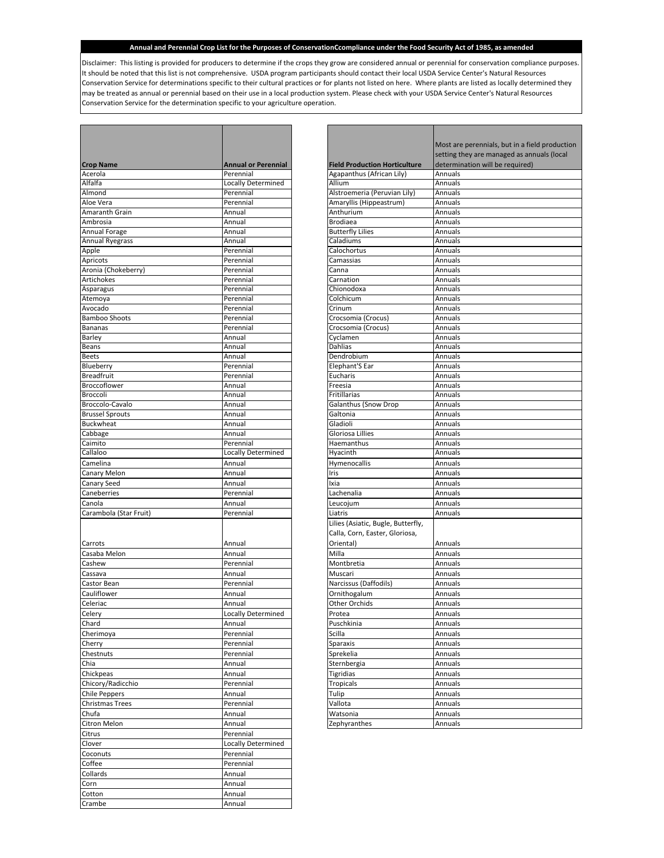Disclaimer: This listing is provided for producers to determine if the crops they grow are considered annual or perennial for conservation compliance purposes. It should be noted that this list is not comprehensive. USDA program participants should contact their local USDA Service Center's Natural Resources Conservation Service for determinations specific to their cultural practices or for plants not listed on here. Where plants are listed as locally determined they may be treated as annual or perennial based on their use in a local production system. Please check with your USDA Service Center's Natural Resources Conservation Service for the determination specific to your agriculture operation.

г

|                             |                                         |                                      | Most ar            |
|-----------------------------|-----------------------------------------|--------------------------------------|--------------------|
|                             |                                         |                                      | setting            |
| <b>Crop Name</b><br>Acerola | <b>Annual or Perennial</b><br>Perennial | <b>Field Production Horticulture</b> | determi<br>Annuals |
| Alfalfa                     | <b>Locally Determined</b>               | Agapanthus (African Lily)<br>Allium  | Annuals            |
| Almond                      | Perennial                               | Alstroemeria (Peruvian Lily)         | Annuals            |
| Aloe Vera                   | Perennial                               | Amaryllis (Hippeastrum)              | Annuals            |
| Amaranth Grain              | Annual                                  | Anthurium                            | Annuals            |
| Ambrosia                    | Annual                                  | <b>Brodiaea</b>                      | Annuals            |
| Annual Forage               | Annual                                  | <b>Butterfly Lilies</b>              | Annuals            |
| <b>Annual Ryegrass</b>      | Annual                                  | Caladiums                            | Annuals            |
| Apple                       | Perennial                               | Calochortus                          | Annuals            |
| Apricots                    | Perennial                               | Camassias                            | Annuals            |
| Aronia (Chokeberry)         | Perennial                               | Canna                                | Annuals            |
| Artichokes                  | Perennial                               | Carnation                            | Annuals            |
| Asparagus                   | Perennial                               | Chionodoxa                           | Annuals            |
| Atemoya                     | Perennial                               | Colchicum                            | Annuals            |
| Avocado                     | Perennial                               | Crinum                               | Annuals            |
| <b>Bamboo Shoots</b>        | Perennial                               | Crocsomia (Crocus)                   | Annuals            |
| <b>Bananas</b>              | Perennial                               | Crocsomia (Crocus)                   | Annuals            |
| <b>Barley</b>               | Annual                                  | Cyclamen                             | Annuals            |
| Beans                       | Annual                                  | Dahlias                              | Annuals            |
| <b>Beets</b>                | Annual                                  | Dendrobium                           | Annuals            |
| Blueberry                   | Perennial                               | Elephant'S Ear                       | Annuals            |
| <b>Breadfruit</b>           | Perennial                               | Eucharis                             | Annuals            |
| <b>Broccoflower</b>         | Annual                                  | Freesia                              | Annuals            |
| Broccoli                    | Annual                                  | Fritillarias                         | Annuals            |
| Broccolo-Cavalo             | Annual                                  | <b>Galanthus (Snow Drop</b>          | Annuals            |
| <b>Brussel Sprouts</b>      | Annual                                  | Galtonia                             | Annuals            |
| <b>Buckwheat</b>            | Annual                                  | Gladioli                             | Annuals            |
| Cabbage                     | Annual                                  | Gloriosa Lillies                     | Annuals            |
| Caimito                     | Perennial                               | Haemanthus                           | Annuals            |
| Callaloo                    | <b>Locally Determined</b>               | Hyacinth                             | Annuals            |
| Camelina                    | Annual                                  | Hymenocallis                         | Annuals            |
| Canary Melon                | Annual                                  | Iris                                 | Annuals            |
| Canary Seed                 | Annual                                  | Ixia                                 | Annuals            |
| Caneberries                 | Perennial                               | Lachenalia                           | Annuals            |
| Canola                      | Annual                                  | Leucojum                             | Annuals            |
| Carambola (Star Fruit)      | Perennial                               | Liatris                              | Annuals            |
|                             |                                         |                                      |                    |
|                             |                                         | Lilies (Asiatic, Bugle, Butterfly,   |                    |
|                             |                                         | Calla, Corn, Easter, Gloriosa,       |                    |
| Carrots                     | Annual                                  | Oriental)                            | Annuals            |
| Casaba Melon                | Annual                                  | Milla                                | Annuals            |
| Cashew                      | Perennial                               | Montbretia                           | Annuals            |
| Cassava                     | Annual                                  | Muscari                              | Annuals            |
| Castor Bean                 | Perennial                               | Narcissus (Daffodils)                | Annuals            |
| Cauliflower                 | Annual                                  | Ornithogalum                         | Annuals            |
| Celeriac                    | Annual                                  | <b>Other Orchids</b>                 | Annuals            |
| Celery                      | Locally Determined                      | Protea                               | Annuals            |
| Chard                       | Annual                                  | Puschkinia                           | Annuals            |
| Cherimoya                   | Perennial                               | Scilla                               | Annuals            |
| Cherry                      | Perennial                               | Sparaxis                             | Annuals            |
| Chestnuts                   | Perennial                               | Sprekelia                            | Annuals            |
| Chia                        | Annual                                  | Sternbergia                          | Annuals            |
| Chickpeas                   | Annual                                  | <b>Tigridias</b>                     | Annuals            |
| Chicory/Radicchio           | Perennial                               | <b>Tropicals</b>                     | Annuals            |
| <b>Chile Peppers</b>        | Annual                                  | Tulip                                | Annuals            |
| <b>Christmas Trees</b>      | Perennial                               | Vallota                              | Annuals            |
| Chufa                       | Annual                                  | Watsonia                             | Annuals            |
| Citron Melon                | Annual                                  | Zephyranthes                         | Annuals            |
| Citrus                      | Perennial                               |                                      |                    |
| Clover                      | <b>Locally Determined</b>               |                                      |                    |
|                             | Perennial                               |                                      |                    |
| Coconuts                    |                                         |                                      |                    |
| Coffee                      | Perennial                               |                                      |                    |
| Collards                    | Annual                                  |                                      |                    |
| Corn                        | Annual                                  |                                      |                    |
| Cotton                      | Annual                                  |                                      |                    |
| Crambe                      | Annual                                  |                                      |                    |

|                                      | Most are perennials, but in a field production |
|--------------------------------------|------------------------------------------------|
|                                      | setting they are managed as annuals (local     |
| <b>Field Production Horticulture</b> | determination will be required)                |
| Agapanthus (African Lily)            | Annuals                                        |
| Allium                               | Annuals                                        |
| Alstroemeria (Peruvian Lily)         | Annuals                                        |
| Amaryllis (Hippeastrum)              | Annuals                                        |
| Anthurium                            | Annuals                                        |
| <b>Brodiaea</b>                      | Annuals                                        |
| <b>Butterfly Lilies</b>              | Annuals                                        |
| Caladiums                            | Annuals                                        |
| Calochortus                          | Annuals                                        |
| Camassias                            | Annuals                                        |
| Canna                                | Annuals                                        |
| Carnation                            | Annuals                                        |
| Chionodoxa                           | Annuals                                        |
| Colchicum                            | Annuals                                        |
| Crinum                               | Annuals                                        |
| Crocsomia (Crocus)                   | Annuals                                        |
| Crocsomia (Crocus)                   | Annuals                                        |
| Cyclamen                             | Annuals                                        |
| Dahlias                              | Annuals                                        |
| Dendrobium                           | Annuals                                        |
| Elephant'S Ear                       | Annuals                                        |
| Eucharis                             | Annuals                                        |
| Freesia                              | Annuals                                        |
| Fritillarias                         | Annuals<br>Annuals                             |
| Galanthus (Snow Drop<br>Galtonia     | Annuals                                        |
| Gladioli                             | Annuals                                        |
| Gloriosa Lillies                     | Annuals                                        |
| Haemanthus                           | Annuals                                        |
| Hyacinth                             | Annuals                                        |
| Hymenocallis                         | Annuals                                        |
| Iris                                 | Annuals                                        |
| Ixia                                 | Annuals                                        |
| Lachenalia                           | Annuals                                        |
| Leucojum                             | Annuals                                        |
| Liatris                              | Annuals                                        |
| Lilies (Asiatic, Bugle, Butterfly,   |                                                |
| Calla, Corn, Easter, Gloriosa,       |                                                |
| Oriental)                            | Annuals                                        |
| Milla                                | Annuals                                        |
| Montbretia                           | Annuals                                        |
| Muscari                              | Annuals                                        |
| Narcissus (Daffodils)                | Annuals                                        |
| Ornithogalum                         | Annuals                                        |
| <b>Other Orchids</b>                 | Annuals                                        |
| Protea                               | Annuals                                        |
| Puschkinia                           | Annuals                                        |
| Scilla                               | Annuals                                        |
| Sparaxis                             | Annuals                                        |
| Sprekelia                            | Annuals                                        |
| Sternbergia                          | Annuals                                        |
| <b>Tigridias</b>                     | Annuals                                        |
| <b>Tropicals</b>                     | Annuals                                        |
| Tulip                                | Annuals                                        |
| Vallota                              | Annuals                                        |
| Watsonia                             | Annuals                                        |
| Zephyranthes                         | Annuals                                        |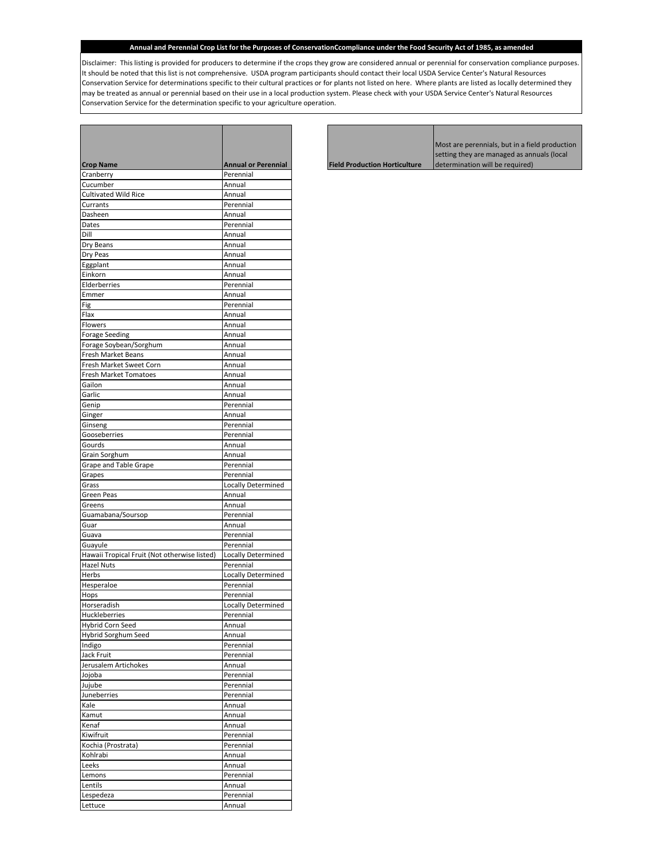Disclaimer: This listing is provided for producers to determine if the crops they grow are considered annual or perennial for conservation compliance purposes. It should be noted that this list is not comprehensive. USDA program participants should contact their local USDA Service Center's Natural Resources Conservation Service for determinations specific to their cultural practices or for plants not listed on here. Where plants are listed as locally determined they may be treated as annual or perennial based on their use in a local production system. Please check with your USDA Service Center's Natural Resources Conservation Service for the determination specific to your agriculture operation.

┍

 $\overline{\phantom{a}}$ 

| <b>Crop Name</b>                             | <b>Annual or Perennial</b> |
|----------------------------------------------|----------------------------|
| Cranberry                                    | Perennial                  |
| Cucumber                                     | Annual                     |
| <b>Cultivated Wild Rice</b>                  | Annual                     |
| Currants                                     | Perennial                  |
| Dasheen                                      | Annual                     |
| Dates                                        | Perennial                  |
| Dill                                         | Annual                     |
| Dry Beans                                    | Annual                     |
| Dry Peas                                     | Annual                     |
| Eggplant                                     | Annual                     |
| Einkorn                                      | Annual                     |
| Elderberries                                 | Perennial                  |
| Emmer                                        | Annual                     |
| Fig                                          | Perennial                  |
| Flax                                         |                            |
|                                              | Annual                     |
| Flowers                                      | Annual                     |
| <b>Forage Seeding</b>                        | Annual                     |
| Forage Soybean/Sorghum                       | Annual                     |
| Fresh Market Beans                           | Annual                     |
| Fresh Market Sweet Corn                      | Annual                     |
| <b>Fresh Market Tomatoes</b>                 | Annual                     |
| Gailon                                       | Annual                     |
| Garlic                                       | Annual                     |
| Genip                                        | Perennial                  |
| Ginger                                       | Annual                     |
|                                              | Perennial                  |
| Ginseng                                      |                            |
| Gooseberries                                 | Perennial                  |
| Gourds                                       | Annual                     |
| Grain Sorghum                                | Annual                     |
| Grape and Table Grape                        | Perennial                  |
| Grapes                                       | Perennial                  |
| Grass                                        | Locally Determined         |
| Green Peas                                   | Annual                     |
| Greens                                       | Annual                     |
| Guamabana/Soursop                            | Perennial                  |
| Guar                                         | Annual                     |
| Guava                                        | Perennial                  |
|                                              |                            |
| Guayule                                      | Perennial                  |
| Hawaii Tropical Fruit (Not otherwise listed) | <b>Locally Determined</b>  |
| <b>Hazel Nuts</b>                            | Perennial                  |
| Herbs                                        | Locally Determined         |
| Hesperaloe                                   | Perennial                  |
| Hops                                         | Perennial                  |
| Horseradish                                  | Locally Determined         |
| Huckleberries                                | Perennial                  |
| Hybrid Corn Seed                             | Annual                     |
| Hybrid Sorghum Seed                          | Annual                     |
|                                              |                            |
| Indigo                                       | Perennial                  |
| Jack Fruit                                   | Perennial                  |
| Jerusalem Artichokes                         | Annual                     |
| Jojoba                                       | Perennial                  |
| Jujube                                       | Perennial                  |
| Juneberries                                  | Perennial                  |
| Kale                                         | Annual                     |
| Kamut                                        | Annual                     |
| Kenaf                                        | Annual                     |
| Kiwifruit                                    | Perennial                  |
|                                              | Perennial                  |
| Kochia (Prostrata)                           |                            |
| Kohlrabi                                     | Annual                     |
| Leeks                                        | Annual                     |
| Lemons                                       | Perennial                  |
| Lentils                                      | Annual                     |
| Lespedeza                                    | Perennial                  |
| Lettuce                                      | Annual                     |
|                                              |                            |

T

г

|                                      | Most are perennials, but in a field production |
|--------------------------------------|------------------------------------------------|
|                                      | setting they are managed as annuals (local)    |
| <b>Field Production Horticulture</b> | determination will be required)                |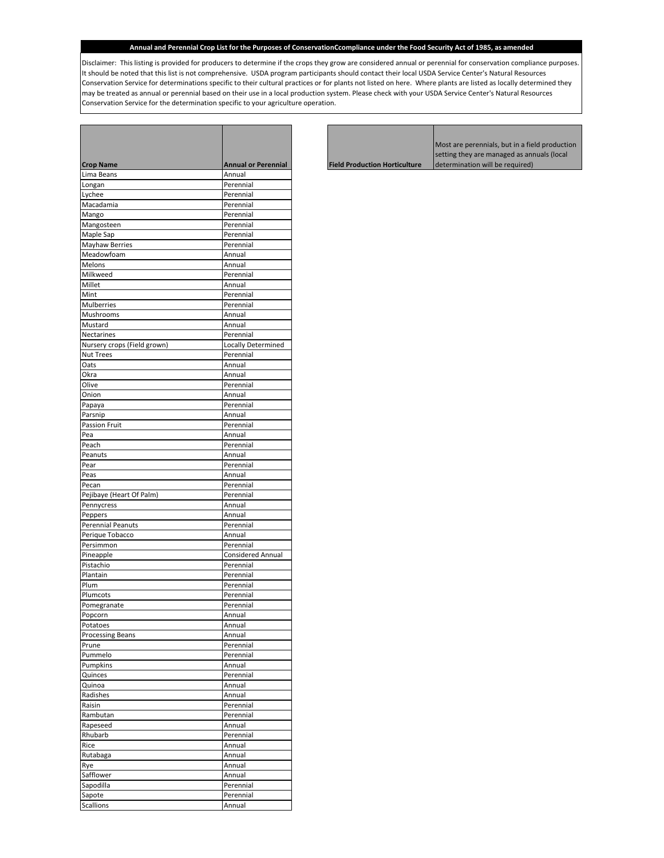Disclaimer: This listing is provided for producers to determine if the crops they grow are considered annual or perennial for conservation compliance purposes. It should be noted that this list is not comprehensive. USDA program participants should contact their local USDA Service Center's Natural Resources Conservation Service for determinations specific to their cultural practices or for plants not listed on here. Where plants are listed as locally determined they may be treated as annual or perennial based on their use in a local production system. Please check with your USDA Service Center's Natural Resources Conservation Service for the determination specific to your agriculture operation.

┍

| <b>Crop Name</b>            | <b>Annual or Perennial</b> |
|-----------------------------|----------------------------|
| Lima Beans                  | Annual                     |
| Longan                      | Perennial                  |
| Lychee                      | Perennial                  |
| Macadamia                   | Perennial                  |
| Mango                       | Perennial                  |
| Mangosteen                  | Perennial                  |
| Maple Sap                   | Perennial                  |
| Mayhaw Berries              | Perennial                  |
| Meadowfoam                  | Annual                     |
| Melons                      | Annual                     |
| Milkweed                    | Perennial                  |
| Millet                      | Annual                     |
| Mint                        | Perennial                  |
| Mulberries                  | Perennial                  |
| Mushrooms                   | Annual                     |
| Mustard                     | Annual                     |
|                             |                            |
| Nectarines                  | Perennial                  |
| Nursery crops (Field grown) | <b>Locally Determined</b>  |
| <b>Nut Trees</b>            | Perennial                  |
| Oats                        | Annual                     |
| Okra                        | Annual                     |
| Olive                       | Perennial                  |
| Onion                       | Annual                     |
| Papaya                      | Perennial                  |
| Parsnip                     | Annual                     |
| Passion Fruit               | Perennial                  |
| Pea                         | Annual                     |
| Peach                       | Perennial                  |
| Peanuts                     |                            |
|                             | Annual                     |
| Pear                        | Perennial                  |
| Peas                        | Annual                     |
| Pecan                       | Perennial                  |
| Pejibaye (Heart Of Palm)    | Perennial                  |
| Pennycress                  | Annual                     |
| Peppers                     | Annual                     |
| <b>Perennial Peanuts</b>    | Perennial                  |
| Perique Tobacco             | Annual                     |
| Persimmon                   | Perennial                  |
| Pineapple                   | <b>Considered Annual</b>   |
| Pistachio                   | Perennial                  |
| Plantain                    | Perennial                  |
| Plum                        | Perennial                  |
|                             |                            |
| Plumcots                    | Perennial                  |
| Pomegranate                 | Perennial                  |
| Popcorn                     | Annual                     |
| Potatoes                    | Annual                     |
| <b>Processing Beans</b>     | Annual                     |
| Prune                       | Perennial                  |
| Pummelo                     | Perennial                  |
| Pumpkins                    | Annual                     |
| Quinces                     | Perennial                  |
|                             |                            |
| Quinoa                      | Annual                     |
| Radishes                    | Annual                     |
| Raisin                      | Perennial                  |
| Rambutan                    | Perennial                  |
| Rapeseed                    | Annual                     |
| Rhubarb                     | Perennial                  |
| Rice                        | Annual                     |
| Rutabaga                    | Annual                     |
| Rye                         | Annual                     |
| Safflower                   | Annual                     |
| Sapodilla                   | Perennial                  |
| Sapote                      | Perennial                  |
| <b>Scallions</b>            | Annual                     |
|                             |                            |

<u> 1999 - Jan Jawa</u>

г

|                                      | Most are perennials, but in a field production |
|--------------------------------------|------------------------------------------------|
|                                      | setting they are managed as annuals (local     |
| <b>Field Production Horticulture</b> | determination will be required)                |